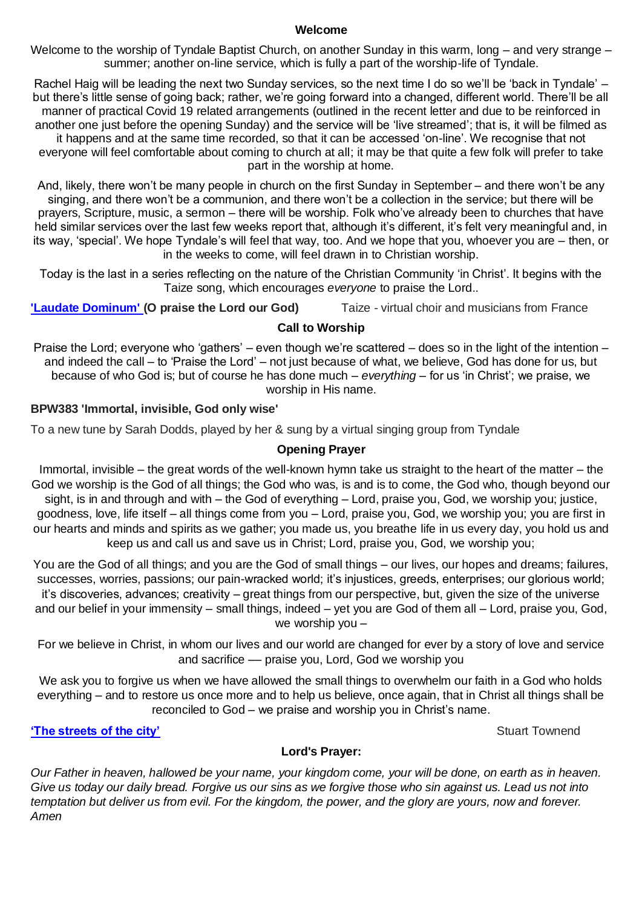#### **Welcome**

Welcome to the worship of Tyndale Baptist Church, on another Sunday in this warm, long – and very strange – summer; another on-line service, which is fully a part of the worship-life of Tyndale.

Rachel Haig will be leading the next two Sunday services, so the next time I do so we'll be 'back in Tyndale' – but there's little sense of going back; rather, we're going forward into a changed, different world. There'll be all manner of practical Covid 19 related arrangements (outlined in the recent letter and due to be reinforced in another one just before the opening Sunday) and the service will be 'live streamed'; that is, it will be filmed as it happens and at the same time recorded, so that it can be accessed 'on-line'. We recognise that not everyone will feel comfortable about coming to church at all; it may be that quite a few folk will prefer to take part in the worship at home.

And, likely, there won't be many people in church on the first Sunday in September – and there won't be any singing, and there won't be a communion, and there won't be a collection in the service; but there will be prayers, Scripture, music, a sermon – there will be worship. Folk who've already been to churches that have held similar services over the last few weeks report that, although it's different, it's felt very meaningful and, in its way, 'special'. We hope Tyndale's will feel that way, too. And we hope that you, whoever you are – then, or in the weeks to come, will feel drawn in to Christian worship.

Today is the last in a series reflecting on the nature of the Christian Community 'in Christ'. It begins with the Taize song, which encourages *everyone* to praise the Lord..

**['Laudate Dominum'](https://www.youtube.com/watch?v=oUUgdlMKpWA) (O praise the Lord our God)** Taize - virtual choir and musicians from France

## **Call to Worship**

Praise the Lord; everyone who 'gathers' – even though we're scattered – does so in the light of the intention – and indeed the call – to 'Praise the Lord' – not just because of what, we believe, God has done for us, but because of who God is; but of course he has done much – *everything* – for us 'in Christ'; we praise, we worship in His name.

## **BPW383 'Immortal, invisible, God only wise'**

To a new tune by Sarah Dodds, played by her & sung by a virtual singing group from Tyndale

## **Opening Prayer**

Immortal, invisible – the great words of the well-known hymn take us straight to the heart of the matter – the God we worship is the God of all things; the God who was, is and is to come, the God who, though beyond our sight, is in and through and with – the God of everything – Lord, praise you, God, we worship you; justice, goodness, love, life itself – all things come from you – Lord, praise you, God, we worship you; you are first in our hearts and minds and spirits as we gather; you made us, you breathe life in us every day, you hold us and keep us and call us and save us in Christ; Lord, praise you, God, we worship you;

You are the God of all things; and you are the God of small things – our lives, our hopes and dreams; failures, successes, worries, passions; our pain-wracked world; it's injustices, greeds, enterprises; our glorious world; it's discoveries, advances; creativity – great things from our perspective, but, given the size of the universe and our belief in your immensity – small things, indeed – yet you are God of them all – Lord, praise you, God, we worship you –

For we believe in Christ, in whom our lives and our world are changed for ever by a story of love and service and sacrifice –– praise you, Lord, God we worship you

We ask you to forgive us when we have allowed the small things to overwhelm our faith in a God who holds everything – and to restore us once more and to help us believe, once again, that in Christ all things shall be reconciled to God – we praise and worship you in Christ's name.

# **The streets of the city'** Stuart Townend

### **Lord's Prayer:**

*Our Father in heaven, hallowed be your name, your kingdom come, your will be done, on earth as in heaven. Give us today our daily bread. Forgive us our sins as we forgive those who sin against us. Lead us not into temptation but deliver us from evil. For the kingdom, the power, and the glory are yours, now and forever. Amen*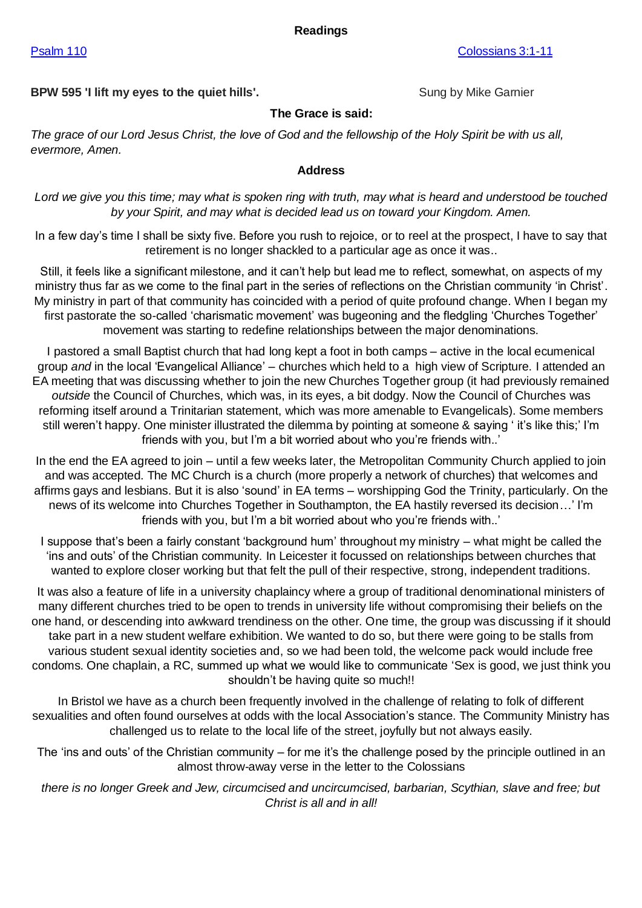#### **Readings**

**BPW 595 'I lift my eyes to the quiet hills'.** Sung by Mike Gamier

#### **The Grace is said:**

*The grace of our Lord Jesus Christ, the love of God and the fellowship of the Holy Spirit be with us all, evermore, Amen.*

#### **Address**

*Lord we give you this time; may what is spoken ring with truth, may what is heard and understood be touched by your Spirit, and may what is decided lead us on toward your Kingdom. Amen.*

In a few day's time I shall be sixty five. Before you rush to rejoice, or to reel at the prospect, I have to say that retirement is no longer shackled to a particular age as once it was..

Still, it feels like a significant milestone, and it can't help but lead me to reflect, somewhat, on aspects of my ministry thus far as we come to the final part in the series of reflections on the Christian community 'in Christ'. My ministry in part of that community has coincided with a period of quite profound change. When I began my first pastorate the so-called 'charismatic movement' was bugeoning and the fledgling 'Churches Together' movement was starting to redefine relationships between the major denominations.

I pastored a small Baptist church that had long kept a foot in both camps – active in the local ecumenical group *and* in the local 'Evangelical Alliance' – churches which held to a high view of Scripture. I attended an EA meeting that was discussing whether to join the new Churches Together group (it had previously remained *outside* the Council of Churches, which was, in its eyes, a bit dodgy. Now the Council of Churches was reforming itself around a Trinitarian statement, which was more amenable to Evangelicals). Some members still weren't happy. One minister illustrated the dilemma by pointing at someone & saying ' it's like this;' I'm friends with you, but I'm a bit worried about who you're friends with..'

In the end the EA agreed to join – until a few weeks later, the Metropolitan Community Church applied to join and was accepted. The MC Church is a church (more properly a network of churches) that welcomes and affirms gays and lesbians. But it is also 'sound' in EA terms – worshipping God the Trinity, particularly. On the news of its welcome into Churches Together in Southampton, the EA hastily reversed its decision…' I'm friends with you, but I'm a bit worried about who you're friends with..'

I suppose that's been a fairly constant 'background hum' throughout my ministry – what might be called the 'ins and outs' of the Christian community. In Leicester it focussed on relationships between churches that wanted to explore closer working but that felt the pull of their respective, strong, independent traditions.

It was also a feature of life in a university chaplaincy where a group of traditional denominational ministers of many different churches tried to be open to trends in university life without compromising their beliefs on the one hand, or descending into awkward trendiness on the other. One time, the group was discussing if it should take part in a new student welfare exhibition. We wanted to do so, but there were going to be stalls from various student sexual identity societies and, so we had been told, the welcome pack would include free condoms. One chaplain, a RC, summed up what we would like to communicate 'Sex is good, we just think you shouldn't be having quite so much!!

In Bristol we have as a church been frequently involved in the challenge of relating to folk of different sexualities and often found ourselves at odds with the local Association's stance. The Community Ministry has challenged us to relate to the local life of the street, joyfully but not always easily.

The 'ins and outs' of the Christian community – for me it's the challenge posed by the principle outlined in an almost throw-away verse in the letter to the Colossians

*there is no longer Greek and Jew, circumcised and uncircumcised, barbarian, Scythian, slave and free; but Christ is all and in all!*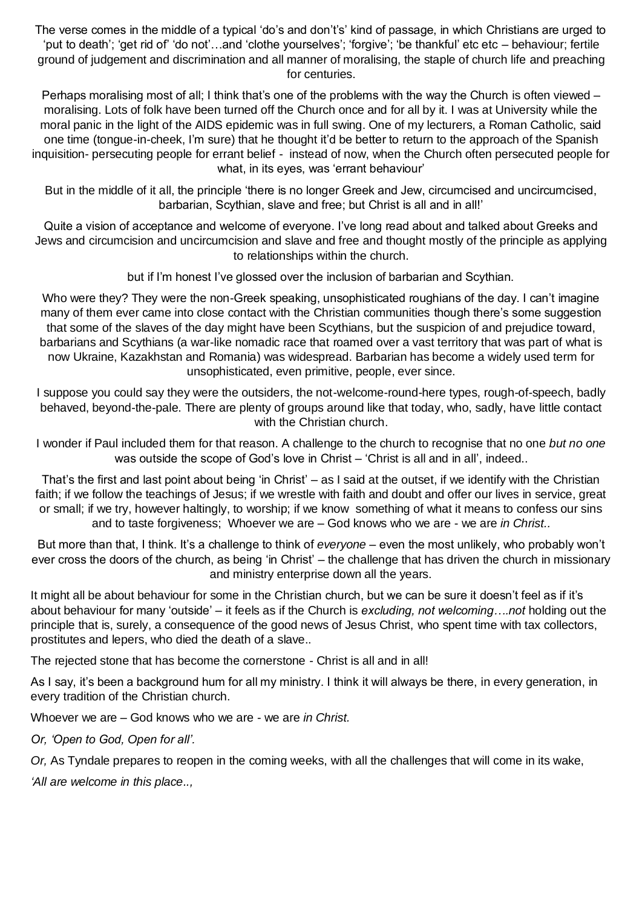The verse comes in the middle of a typical 'do's and don't's' kind of passage, in which Christians are urged to 'put to death'; 'get rid of' 'do not'…and 'clothe yourselves'; 'forgive'; 'be thankful' etc etc – behaviour; fertile ground of judgement and discrimination and all manner of moralising, the staple of church life and preaching for centuries.

Perhaps moralising most of all; I think that's one of the problems with the way the Church is often viewed – moralising. Lots of folk have been turned off the Church once and for all by it. I was at University while the moral panic in the light of the AIDS epidemic was in full swing. One of my lecturers, a Roman Catholic, said one time (tongue-in-cheek, I'm sure) that he thought it'd be better to return to the approach of the Spanish inquisition- persecuting people for errant belief - instead of now, when the Church often persecuted people for what, in its eyes, was 'errant behaviour'

But in the middle of it all, the principle 'there is no longer Greek and Jew, circumcised and uncircumcised, barbarian, Scythian, slave and free; but Christ is all and in all!'

Quite a vision of acceptance and welcome of everyone. I've long read about and talked about Greeks and Jews and circumcision and uncircumcision and slave and free and thought mostly of the principle as applying to relationships within the church.

but if I'm honest I've glossed over the inclusion of barbarian and Scythian.

Who were they? They were the non-Greek speaking, unsophisticated roughians of the day. I can't imagine many of them ever came into close contact with the Christian communities though there's some suggestion that some of the slaves of the day might have been Scythians, but the suspicion of and prejudice toward, barbarians and Scythians (a war-like nomadic race that roamed over a vast territory that was part of what is now Ukraine, Kazakhstan and Romania) was widespread. Barbarian has become a widely used term for unsophisticated, even primitive, people, ever since.

I suppose you could say they were the outsiders, the not-welcome-round-here types, rough-of-speech, badly behaved, beyond-the-pale. There are plenty of groups around like that today, who, sadly, have little contact with the Christian church.

I wonder if Paul included them for that reason. A challenge to the church to recognise that no one *but no one*  was outside the scope of God's love in Christ – 'Christ is all and in all', indeed..

That's the first and last point about being 'in Christ' – as I said at the outset, if we identify with the Christian faith; if we follow the teachings of Jesus; if we wrestle with faith and doubt and offer our lives in service, great or small; if we try, however haltingly, to worship; if we know something of what it means to confess our sins and to taste forgiveness; Whoever we are – God knows who we are - we are *in Christ..*

But more than that, I think. It's a challenge to think of *everyone* – even the most unlikely, who probably won't ever cross the doors of the church, as being 'in Christ' – the challenge that has driven the church in missionary and ministry enterprise down all the years.

It might all be about behaviour for some in the Christian church, but we can be sure it doesn't feel as if it's about behaviour for many 'outside' – it feels as if the Church is *excluding, not welcoming….not* holding out the principle that is, surely, a consequence of the good news of Jesus Christ, who spent time with tax collectors, prostitutes and lepers, who died the death of a slave..

The rejected stone that has become the cornerstone - Christ is all and in all!

As I say, it's been a background hum for all my ministry. I think it will always be there, in every generation, in every tradition of the Christian church.

Whoever we are – God knows who we are - we are *in Christ.*

*Or, 'Open to God, Open for all'.*

*Or,* As Tyndale prepares to reopen in the coming weeks, with all the challenges that will come in its wake,

*'All are welcome in this place..,*